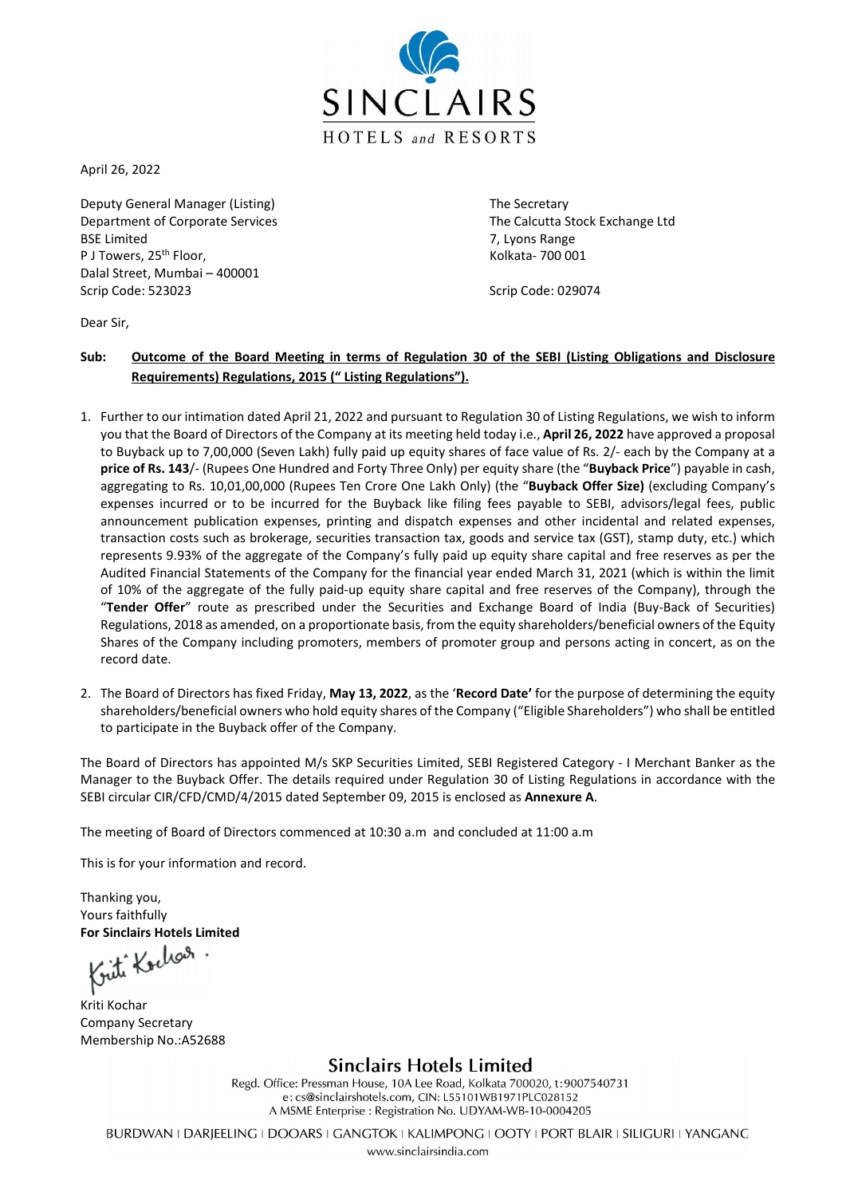

April 26, 2022

Deputy General Manager (Listing) The Secretary Department of Corporate Services The Calcutta Stock Exchange Ltd BSE Limited 7, Lyons Range P J Towers, 25<sup>th</sup> Floor, North Control of The Kolkata- 700 001 Dalal Street, Mumbai – 400001 Scrip Code: 523023 Scrip Code: 029074

Dear Sir,

## Sub: Outcome of the Board Meeting in terms of Regulation 30 of the SEBI (Listing Obligations and Disclosure Requirements) Regulations, 2015 (" Listing Regulations").

- 1. Further to our intimation dated April 21, 2022 and pursuant to Regulation 30 of Listing Regulations, we wish to inform you that the Board of Directors of the Company at its meeting held today i.e., April 26, 2022 have approved a proposal to Buyback up to 7,00,000 (Seven Lakh) fully paid up equity shares of face value of Rs. 2/- each by the Company at a price of Rs. 143/- (Rupees One Hundred and Forty Three Only) per equity share (the "Buyback Price") payable in cash, aggregating to Rs. 10,01,00,000 (Rupees Ten Crore One Lakh Only) (the "Buyback Offer Size) (excluding Company's expenses incurred or to be incurred for the Buyback like filing fees payable to SEBI, advisors/legal fees, public announcement publication expenses, printing and dispatch expenses and other incidental and related expenses, transaction costs such as brokerage, securities transaction tax, goods and service tax (GST), stamp duty, etc.) which represents 9.93% of the aggregate of the Company's fully paid up equity share capital and free reserves as per the Audited Financial Statements of the Company for the financial year ended March 31, 2021 (which is within the limit of 10% of the aggregate of the fully paid-up equity share capital and free reserves of the Company), through the "Tender Offer" route as prescribed under the Securities and Exchange Board of India (Buy-Back of Securities) Regulations, 2018 as amended, on a proportionate basis, from the equity shareholders/beneficial owners of the Equity Shares of the Company including promoters, members of promoter group and persons acting in concert, as on the record date.
- 2. The Board of Directors has fixed Friday, May 13, 2022, as the 'Record Date' for the purpose of determining the equity shareholders/beneficial owners who hold equity shares of the Company ("Eligible Shareholders") who shall be entitled to participate in the Buyback offer of the Company.

The Board of Directors has appointed M/s SKP Securities Limited, SEBI Registered Category - I Merchant Banker as the Manager to the Buyback Offer. The details required under Regulation 30 of Listing Regulations in accordance with the SEBI circular CIR/CFD/CMD/4/2015 dated September 09, 2015 is enclosed as Annexure A.

The meeting of Board of Directors commenced at 10:30 a.m and concluded at 11:00 a.m

This is for your information and record.

Thanking you, Yours faithfully

For Sinclairs Hotels Limited<br>Kuth Kochon

Kriti Kochar Company Secretary Membership No.:A52688

## **Sinclairs Hotels Limited**

Regd. Office: Pressman House, 10A Lee Road, Kolkata 700020, t:9007540731 e: cs@sinclairshotels.com, CIN: L55101WB1971PLC028152 A MSME Enterprise : Registration No. UDYAM-WB-10-0004205

BURDWAN I DARJEELING I DOOARS I GANGTOK I KALIMPONG I OOTY I PORT BLAIR I SILIGURI I YANGANG

www.sinclairsindia.com